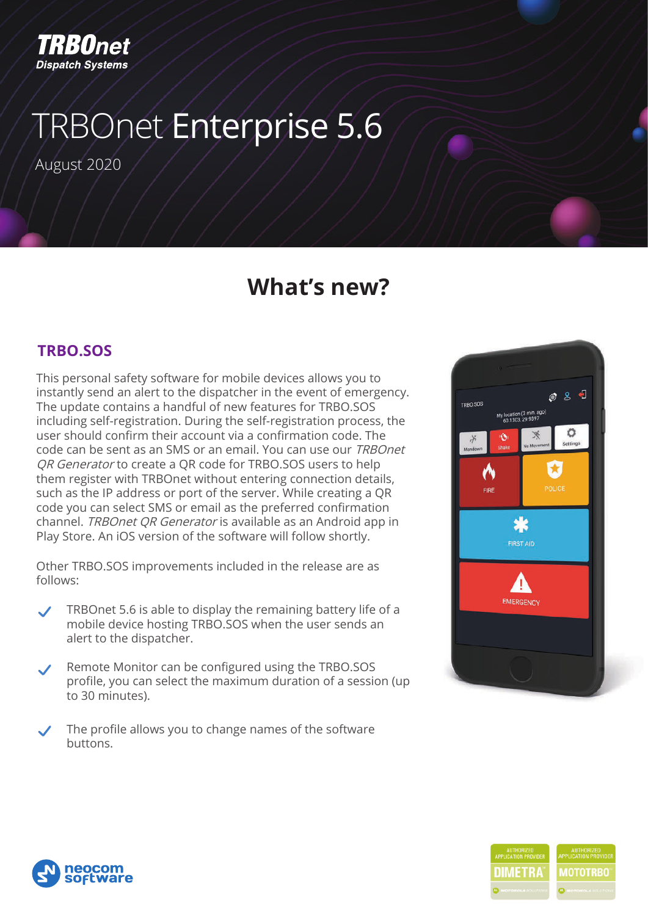

# TRBOnet Enterprise 5.6

August 2020

### **What's new?**

#### **TRBO.SOS**

This personal safety software for mobile devices allows you to instantly send an alert to the dispatcher in the event of emergency. The update contains a handful of new features for TRBO.SOS including self-registration. During the self-registration process, the user should confirm their account via a confirmation code. The code can be sent as an SMS or an email. You can use our TRBOnet QR Generator to create a QR code for TRBO.SOS users to help them register with TRBOnet without entering connection details, such as the IP address or port of the server. While creating a QR code you can select SMS or email as the preferred confirmation channel. TRBOnet QR Generator is available as an Android app in Play Store. An iOS version of the software will follow shortly.

Other TRBO.SOS improvements included in the release are as follows:

- TRBOnet 5.6 is able to display the remaining battery life of a mobile device hosting TRBO.SOS when the user sends an alert to the dispatcher.
- Remote Monitor can be configured using the TRBO.SOS profile, you can select the maximum duration of a session (up to 30 minutes).
- The profile allows you to change names of the software buttons.